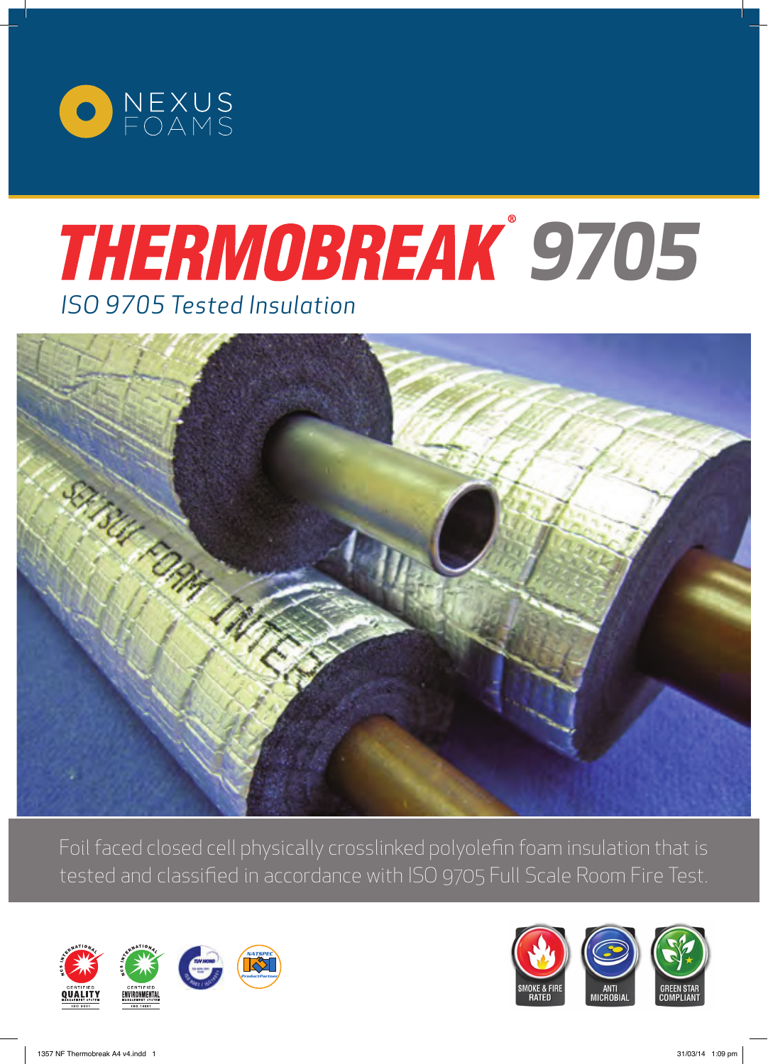

# *ISO 9705 Tested Insulation 9705*



Foil faced closed cell physically crosslinked polyolefin foam insulation that is tested and classified in accordance with ISO 9705 Full Scale Room Fire Test.